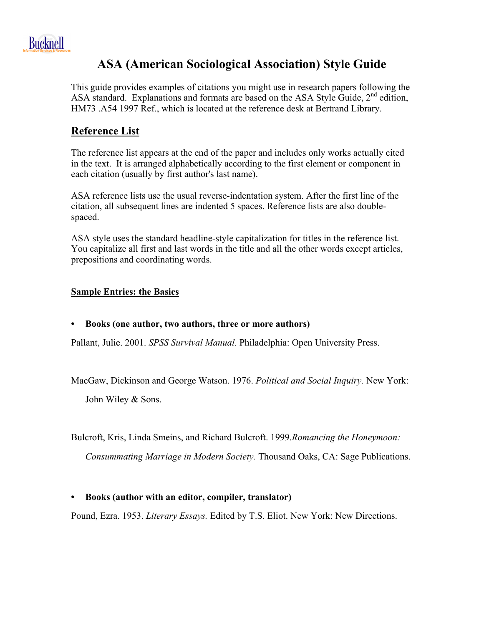

## **ASA (American Sociological Association) Style Guide**

This guide provides examples of citations you might use in research papers following the ASA standard. Explanations and formats are based on the ASA Style Guide,  $2<sup>nd</sup>$  edition, HM73 .A54 1997 Ref., which is located at the reference desk at Bertrand Library.

## **Reference List**

The reference list appears at the end of the paper and includes only works actually cited in the text. It is arranged alphabetically according to the first element or component in each citation (usually by first author's last name).

ASA reference lists use the usual reverse-indentation system. After the first line of the citation, all subsequent lines are indented 5 spaces. Reference lists are also doublespaced.

ASA style uses the standard headline-style capitalization for titles in the reference list. You capitalize all first and last words in the title and all the other words except articles, prepositions and coordinating words.

## **Sample Entries: the Basics**

**• Books (one author, two authors, three or more authors)**

Pallant, Julie. 2001. *SPSS Survival Manual.* Philadelphia: Open University Press.

MacGaw, Dickinson and George Watson. 1976. *Political and Social Inquiry.* New York: John Wiley & Sons.

Bulcroft, Kris, Linda Smeins, and Richard Bulcroft. 1999.*Romancing the Honeymoon:* 

*Consummating Marriage in Modern Society.* Thousand Oaks, CA: Sage Publications.

#### **• Books (author with an editor, compiler, translator)**

Pound, Ezra. 1953. *Literary Essays.* Edited by T.S. Eliot. New York: New Directions.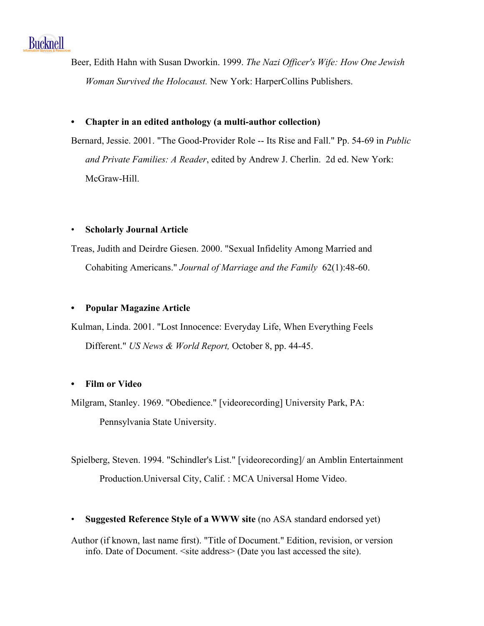

Beer, Edith Hahn with Susan Dworkin. 1999. *The Nazi Officer's Wife: How One Jewish Woman Survived the Holocaust.* New York: HarperCollins Publishers.

#### **• Chapter in an edited anthology (a multi-author collection)**

Bernard, Jessie. 2001. "The Good-Provider Role -- Its Rise and Fall." Pp. 54-69 in *Public and Private Families: A Reader*, edited by Andrew J. Cherlin. 2d ed. New York: McGraw-Hill.

#### • **Scholarly Journal Article**

Treas, Judith and Deirdre Giesen. 2000. "Sexual Infidelity Among Married and Cohabiting Americans." *Journal of Marriage and the Family* 62(1):48-60.

#### **• Popular Magazine Article**

Kulman, Linda. 2001. "Lost Innocence: Everyday Life, When Everything Feels Different." *US News & World Report,* October 8, pp. 44-45.

#### **• Film or Video**

Milgram, Stanley. 1969. "Obedience." [videorecording] University Park, PA: Pennsylvania State University.

Spielberg, Steven. 1994. "Schindler's List." [videorecording]/ an Amblin Entertainment Production.Universal City, Calif. : MCA Universal Home Video.

• **Suggested Reference Style of a WWW site** (no ASA standard endorsed yet)

Author (if known, last name first). "Title of Document." Edition, revision, or version info. Date of Document. <site address> (Date you last accessed the site).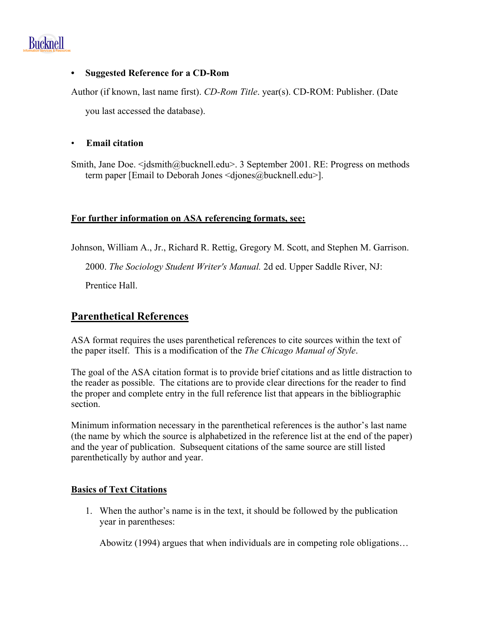

#### **• Suggested Reference for a CD-Rom**

Author (if known, last name first). *CD-Rom Title*. year(s). CD-ROM: Publisher. (Date

you last accessed the database).

#### • **Email citation**

Smith, Jane Doe. <*jdsmith@bucknell.edu>.* 3 September 2001. RE: Progress on methods term paper [Email to Deborah Jones <djones@bucknell.edu>].

#### **For further information on ASA referencing formats, see:**

Johnson, William A., Jr., Richard R. Rettig, Gregory M. Scott, and Stephen M. Garrison.

2000. *The Sociology Student Writer's Manual.* 2d ed. Upper Saddle River, NJ:

Prentice Hall.

## **Parenthetical References**

ASA format requires the uses parenthetical references to cite sources within the text of the paper itself. This is a modification of the *The Chicago Manual of Style*.

The goal of the ASA citation format is to provide brief citations and as little distraction to the reader as possible. The citations are to provide clear directions for the reader to find the proper and complete entry in the full reference list that appears in the bibliographic section.

Minimum information necessary in the parenthetical references is the author's last name (the name by which the source is alphabetized in the reference list at the end of the paper) and the year of publication. Subsequent citations of the same source are still listed parenthetically by author and year.

## **Basics of Text Citations**

1. When the author's name is in the text, it should be followed by the publication year in parentheses:

Abowitz (1994) argues that when individuals are in competing role obligations…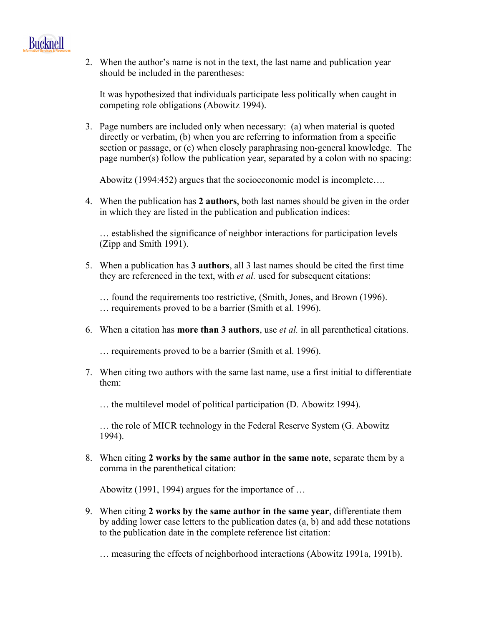

2. When the author's name is not in the text, the last name and publication year should be included in the parentheses:

It was hypothesized that individuals participate less politically when caught in competing role obligations (Abowitz 1994).

3. Page numbers are included only when necessary: (a) when material is quoted directly or verbatim, (b) when you are referring to information from a specific section or passage, or (c) when closely paraphrasing non-general knowledge. The page number(s) follow the publication year, separated by a colon with no spacing:

Abowitz (1994:452) argues that the socioeconomic model is incomplete….

4. When the publication has **2 authors**, both last names should be given in the order in which they are listed in the publication and publication indices:

… established the significance of neighbor interactions for participation levels (Zipp and Smith 1991).

5. When a publication has **3 authors**, all 3 last names should be cited the first time they are referenced in the text, with *et al.* used for subsequent citations:

… found the requirements too restrictive, (Smith, Jones, and Brown (1996). … requirements proved to be a barrier (Smith et al. 1996).

6. When a citation has **more than 3 authors**, use *et al.* in all parenthetical citations.

… requirements proved to be a barrier (Smith et al. 1996).

7. When citing two authors with the same last name, use a first initial to differentiate them:

… the multilevel model of political participation (D. Abowitz 1994).

… the role of MICR technology in the Federal Reserve System (G. Abowitz 1994).

8. When citing **2 works by the same author in the same note**, separate them by a comma in the parenthetical citation:

Abowitz (1991, 1994) argues for the importance of …

9. When citing **2 works by the same author in the same year**, differentiate them by adding lower case letters to the publication dates (a, b) and add these notations to the publication date in the complete reference list citation:

… measuring the effects of neighborhood interactions (Abowitz 1991a, 1991b).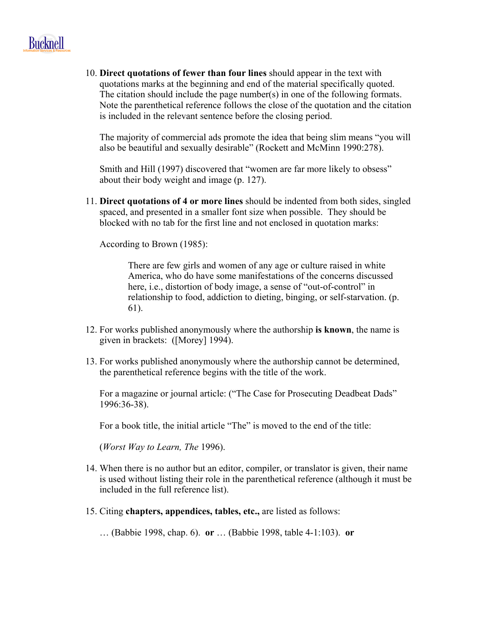# **Bucknell**

10. **Direct quotations of fewer than four lines** should appear in the text with quotations marks at the beginning and end of the material specifically quoted. The citation should include the page number(s) in one of the following formats. Note the parenthetical reference follows the close of the quotation and the citation is included in the relevant sentence before the closing period.

The majority of commercial ads promote the idea that being slim means "you will also be beautiful and sexually desirable" (Rockett and McMinn 1990:278).

Smith and Hill (1997) discovered that "women are far more likely to obsess" about their body weight and image (p. 127).

11. **Direct quotations of 4 or more lines** should be indented from both sides, singled spaced, and presented in a smaller font size when possible. They should be blocked with no tab for the first line and not enclosed in quotation marks:

According to Brown (1985):

There are few girls and women of any age or culture raised in white America, who do have some manifestations of the concerns discussed here, i.e., distortion of body image, a sense of "out-of-control" in relationship to food, addiction to dieting, binging, or self-starvation. (p. 61).

- 12. For works published anonymously where the authorship **is known**, the name is given in brackets: ([Morey] 1994).
- 13. For works published anonymously where the authorship cannot be determined, the parenthetical reference begins with the title of the work.

For a magazine or journal article: ("The Case for Prosecuting Deadbeat Dads" 1996:36-38).

For a book title, the initial article "The" is moved to the end of the title:

(*Worst Way to Learn, The* 1996).

- 14. When there is no author but an editor, compiler, or translator is given, their name is used without listing their role in the parenthetical reference (although it must be included in the full reference list).
- 15. Citing **chapters, appendices, tables, etc.,** are listed as follows:

… (Babbie 1998, chap. 6). **or** … (Babbie 1998, table 4-1:103). **or**